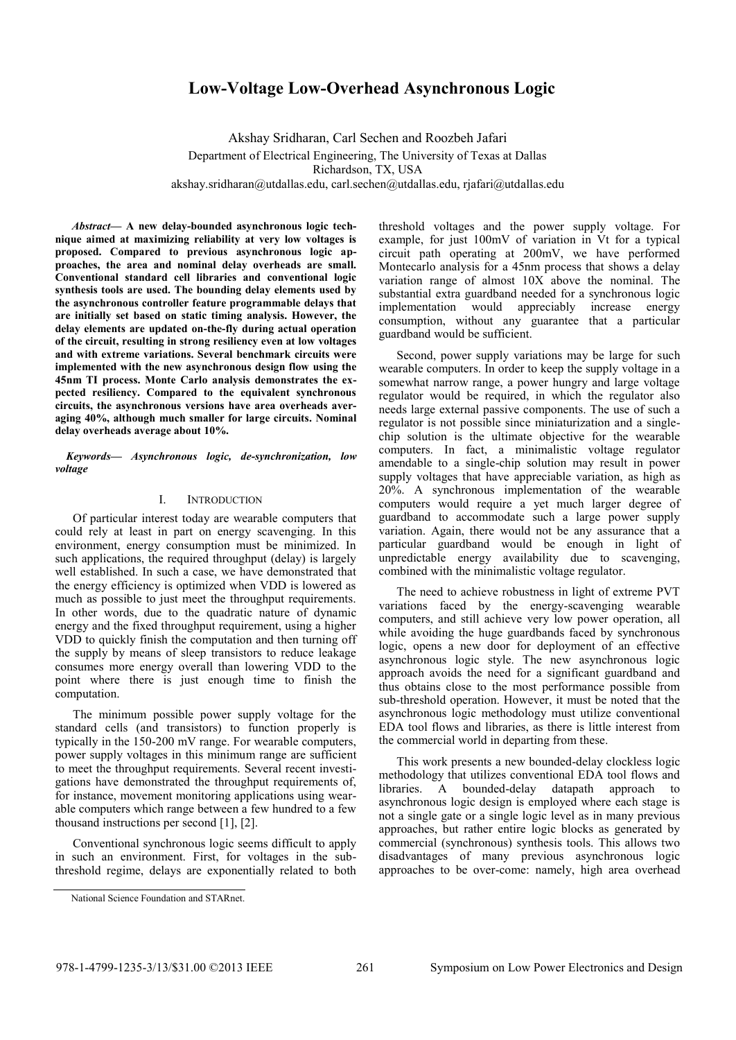# **Low-Voltage Low-Overhead Asynchronous Logic**

Akshay Sridharan, Carl Sechen and Roozbeh Jafari Department of Electrical Engineering, The University of Texas at Dallas Richardson, TX, USA akshay.sridharan@utdallas.edu, carl.sechen@utdallas.edu, rjafari@utdallas.edu

*Abstract***— A new delay-bounded asynchronous logic technique aimed at maximizing reliability at very low voltages is proposed. Compared to previous asynchronous logic approaches, the area and nominal delay overheads are small. Conventional standard cell libraries and conventional logic synthesis tools are used. The bounding delay elements used by the asynchronous controller feature programmable delays that are initially set based on static timing analysis. However, the delay elements are updated on-the-fly during actual operation of the circuit, resulting in strong resiliency even at low voltages and with extreme variations. Several benchmark circuits were implemented with the new asynchronous design flow using the 45nm TI process. Monte Carlo analysis demonstrates the expected resiliency. Compared to the equivalent synchronous circuits, the asynchronous versions have area overheads averaging 40%, although much smaller for large circuits. Nominal delay overheads average about 10%.** 

*Keywords— Asynchronous logic, de-synchronization, low voltage* 

### I. INTRODUCTION

Of particular interest today are wearable computers that could rely at least in part on energy scavenging. In this environment, energy consumption must be minimized. In such applications, the required throughput (delay) is largely well established. In such a case, we have demonstrated that the energy efficiency is optimized when VDD is lowered as much as possible to just meet the throughput requirements. In other words, due to the quadratic nature of dynamic energy and the fixed throughput requirement, using a higher VDD to quickly finish the computation and then turning off the supply by means of sleep transistors to reduce leakage consumes more energy overall than lowering VDD to the point where there is just enough time to finish the computation.

The minimum possible power supply voltage for the standard cells (and transistors) to function properly is typically in the 150-200 mV range. For wearable computers, power supply voltages in this minimum range are sufficient to meet the throughput requirements. Several recent investigations have demonstrated the throughput requirements of, for instance, movement monitoring applications using wearable computers which range between a few hundred to a few thousand instructions per second [1], [2].

Conventional synchronous logic seems difficult to apply in such an environment. First, for voltages in the subthreshold regime, delays are exponentially related to both threshold voltages and the power supply voltage. For example, for just 100mV of variation in Vt for a typical circuit path operating at 200mV, we have performed Montecarlo analysis for a 45nm process that shows a delay variation range of almost 10X above the nominal. The substantial extra guardband needed for a synchronous logic implementation would appreciably increase energy consumption, without any guarantee that a particular guardband would be sufficient.

Second, power supply variations may be large for such wearable computers. In order to keep the supply voltage in a somewhat narrow range, a power hungry and large voltage regulator would be required, in which the regulator also needs large external passive components. The use of such a regulator is not possible since miniaturization and a singlechip solution is the ultimate objective for the wearable computers. In fact, a minimalistic voltage regulator amendable to a single-chip solution may result in power supply voltages that have appreciable variation, as high as 20%. A synchronous implementation of the wearable computers would require a yet much larger degree of guardband to accommodate such a large power supply variation. Again, there would not be any assurance that a particular guardband would be enough in light of unpredictable energy availability due to scavenging, combined with the minimalistic voltage regulator.

The need to achieve robustness in light of extreme PVT variations faced by the energy-scavenging wearable computers, and still achieve very low power operation, all while avoiding the huge guardbands faced by synchronous logic, opens a new door for deployment of an effective asynchronous logic style. The new asynchronous logic approach avoids the need for a significant guardband and thus obtains close to the most performance possible from sub-threshold operation. However, it must be noted that the asynchronous logic methodology must utilize conventional EDA tool flows and libraries, as there is little interest from the commercial world in departing from these.

This work presents a new bounded-delay clockless logic methodology that utilizes conventional EDA tool flows and libraries. A bounded-delay datapath approach to asynchronous logic design is employed where each stage is not a single gate or a single logic level as in many previous approaches, but rather entire logic blocks as generated by commercial (synchronous) synthesis tools. This allows two disadvantages of many previous asynchronous logic approaches to be over-come: namely, high area overhead

National Science Foundation and STARnet.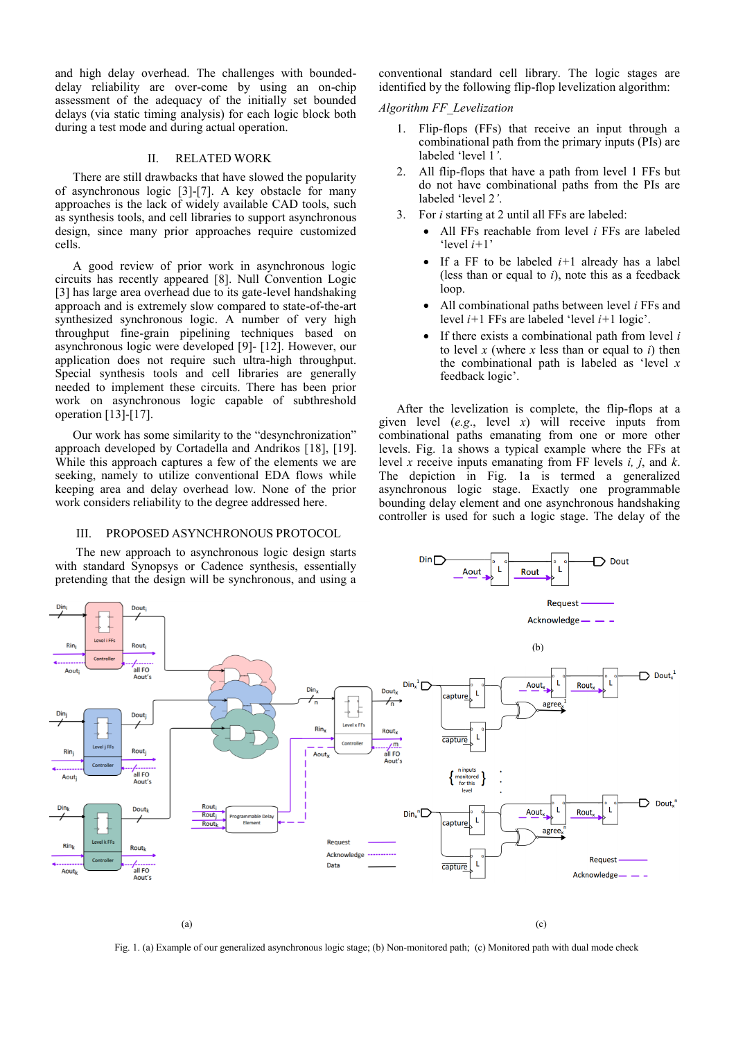and high delay overhead. The challenges with boundeddelay reliability are over-come by using an on-chip assessment of the adequacy of the initially set bounded delays (via static timing analysis) for each logic block both during a test mode and during actual operation.

# II. RELATED WORK

There are still drawbacks that have slowed the popularity of asynchronous logic [3]-[7]. A key obstacle for many approaches is the lack of widely available CAD tools, such as synthesis tools, and cell libraries to support asynchronous design, since many prior approaches require customized cells.

A good review of prior work in asynchronous logic circuits has recently appeared [8]. Null Convention Logic [3] has large area overhead due to its gate-level handshaking approach and is extremely slow compared to state-of-the-art synthesized synchronous logic. A number of very high throughput fine-grain pipelining techniques based on asynchronous logic were developed [9]- [12]. However, our application does not require such ultra-high throughput. Special synthesis tools and cell libraries are generally needed to implement these circuits. There has been prior work on asynchronous logic capable of subthreshold operation [13]-[17].

Our work has some similarity to the "desynchronization" approach developed by Cortadella and Andrikos [18], [19]. While this approach captures a few of the elements we are seeking, namely to utilize conventional EDA flows while keeping area and delay overhead low. None of the prior work considers reliability to the degree addressed here.

## III. PROPOSED ASYNCHRONOUS PROTOCOL

 The new approach to asynchronous logic design starts with standard Synopsys or Cadence synthesis, essentially conventional standard cell library. The logic stages are identified by the following flip-flop levelization algorithm:

### *Algorithm FF\_Levelization*

 $Dim\Box$ 

- 1. Flip-flops (FFs) that receive an input through a combinational path from the primary inputs (PIs) are labeled 'level 1*'*.
- 2. All flip-flops that have a path from level 1 FFs but do not have combinational paths from the PIs are labeled 'level 2*'*.
- 3. For *i* starting at 2 until all FFs are labeled:
	- All FFs reachable from level *i* FFs are labeled 'level *i+*1'
	- If a FF to be labeled *i+*1 already has a label (less than or equal to *i*), note this as a feedback loop.
	- All combinational paths between level *i* FFs and level *i+*1 FFs are labeled 'level *i+*1 logic'.
	- If there exists a combinational path from level *i* to level *x* (where *x* less than or equal to *i*) then the combinational path is labeled as 'level *x*  feedback logic'.

After the levelization is complete, the flip-flops at a given level (*e.g*., level *x*) will receive inputs from combinational paths emanating from one or more other levels. Fig. 1a shows a typical example where the FFs at level *x* receive inputs emanating from FF levels *i, j*, and *k*. The depiction in Fig. 1a is termed a generalized asynchronous logic stage. Exactly one programmable bounding delay element and one asynchronous handshaking controller is used for such a logic stage. The delay of the



Fig. 1. (a) Example of our generalized asynchronous logic stage; (b) Non-monitored path; (c) Monitored path with dual mode check

 $(a)$  (c)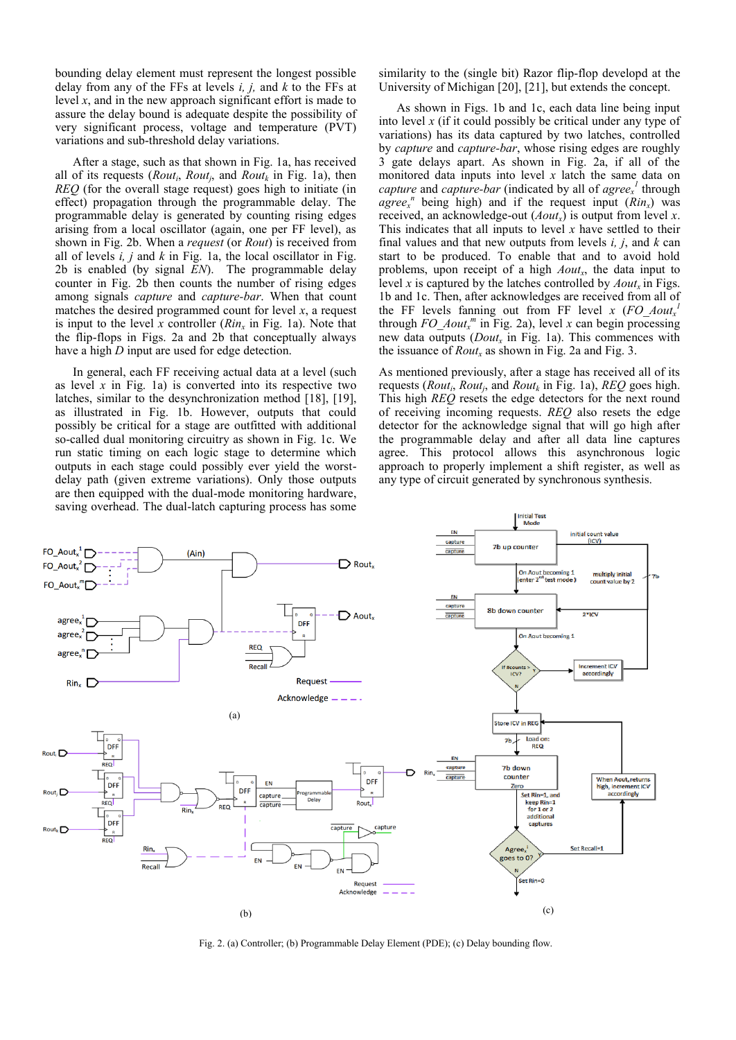bounding delay element must represent the longest possible delay from any of the FFs at levels *i, j,* and *k* to the FFs at level *x*, and in the new approach significant effort is made to assure the delay bound is adequate despite the possibility of very significant process, voltage and temperature (PVT) variations and sub-threshold delay variations.

After a stage, such as that shown in Fig. 1a, has received all of its requests (*Rout<sub>i</sub>*, *Rout<sub>j</sub>*, and *Rout<sub>k</sub>* in Fig. 1a), then *REQ* (for the overall stage request) goes high to initiate (in effect) propagation through the programmable delay. The programmable delay is generated by counting rising edges arising from a local oscillator (again, one per FF level), as shown in Fig. 2b. When a *request* (or *Rout*) is received from all of levels *i, j* and *k* in Fig. 1a, the local oscillator in Fig. 2b is enabled (by signal *EN*). The programmable delay counter in Fig. 2b then counts the number of rising edges among signals *capture* and *capture-bar*. When that count matches the desired programmed count for level *x*, a request is input to the level *x* controller ( $Rin<sub>x</sub>$  in Fig. 1a). Note that the flip-flops in Figs. 2a and 2b that conceptually always have a high *D* input are used for edge detection.

In general, each FF receiving actual data at a level (such as level  $x$  in Fig. 1a) is converted into its respective two latches, similar to the desynchronization method [18], [19], as illustrated in Fig. 1b. However, outputs that could possibly be critical for a stage are outfitted with additional so-called dual monitoring circuitry as shown in Fig. 1c. We run static timing on each logic stage to determine which outputs in each stage could possibly ever yield the worstdelay path (given extreme variations). Only those outputs are then equipped with the dual-mode monitoring hardware, saving overhead. The dual-latch capturing process has some

similarity to the (single bit) Razor flip-flop developd at the University of Michigan [20], [21], but extends the concept.

As shown in Figs. 1b and 1c, each data line being input into level *x* (if it could possibly be critical under any type of variations) has its data captured by two latches, controlled by *capture* and *capture-bar*, whose rising edges are roughly 3 gate delays apart. As shown in Fig. 2a, if all of the monitored data inputs into level *x* latch the same data on *capture* and *capture-bar* (indicated by all of  $agree_x^l$  through  $agree<sub>x</sub><sup>n</sup>$  being high) and if the request input  $(Rin<sub>x</sub>)$  was received, an acknowledge-out (*Aoutx*) is output from level *x*. This indicates that all inputs to level *x* have settled to their final values and that new outputs from levels *i, j*, and *k* can start to be produced. To enable that and to avoid hold problems, upon receipt of a high *Aout<sup>x</sup>* , the data input to level *x* is captured by the latches controlled by *Aoutx* in Figs. 1b and 1c. Then, after acknowledges are received from all of the FF levels fanning out from FF level *x* ( $FO\_Aout_x^1$ ) through  $FO\_Aout^m$  in Fig. 2a), level *x* can begin processing new data outputs (*Dout<sup>x</sup>* in Fig. 1a). This commences with the issuance of *Rout<sup>x</sup>* as shown in Fig. 2a and Fig. 3.

As mentioned previously, after a stage has received all of its requests (*Rout<sub>i</sub>*, *Rout<sub>j</sub>*, and *Rout<sub>k</sub>* in Fig. 1a), *REQ* goes high. This high *REQ* resets the edge detectors for the next round of receiving incoming requests. *REQ* also resets the edge detector for the acknowledge signal that will go high after the programmable delay and after all data line captures agree. This protocol allows this asynchronous logic approach to properly implement a shift register, as well as any type of circuit generated by synchronous synthesis.



Fig. 2. (a) Controller; (b) Programmable Delay Element (PDE); (c) Delay bounding flow.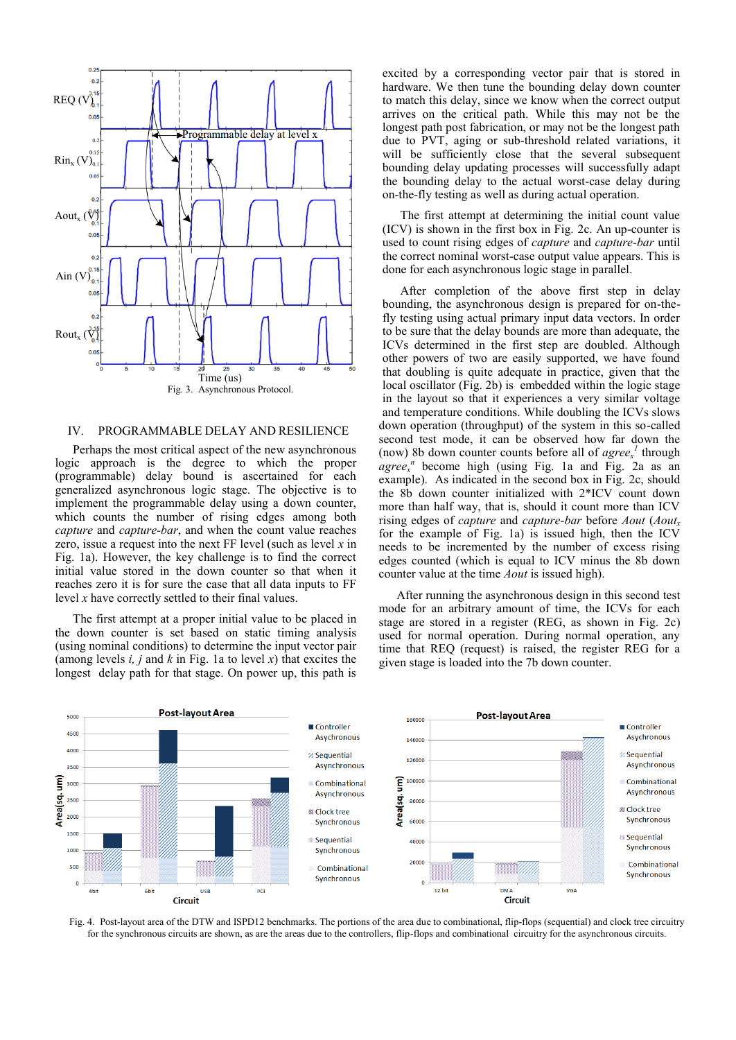

# IV. PROGRAMMABLE DELAY AND RESILIENCE

Perhaps the most critical aspect of the new asynchronous logic approach is the degree to which the proper (programmable) delay bound is ascertained for each generalized asynchronous logic stage. The objective is to implement the programmable delay using a down counter, which counts the number of rising edges among both *capture* and *capture-bar*, and when the count value reaches zero, issue a request into the next FF level (such as level *x* in Fig. 1a). However, the key challenge is to find the correct initial value stored in the down counter so that when it reaches zero it is for sure the case that all data inputs to FF level *x* have correctly settled to their final values.

The first attempt at a proper initial value to be placed in the down counter is set based on static timing analysis (using nominal conditions) to determine the input vector pair (among levels *i, j* and *k* in Fig. 1a to level *x*) that excites the longest delay path for that stage. On power up, this path is

excited by a corresponding vector pair that is stored in hardware. We then tune the bounding delay down counter to match this delay, since we know when the correct output arrives on the critical path. While this may not be the longest path post fabrication, or may not be the longest path due to PVT, aging or sub-threshold related variations, it will be sufficiently close that the several subsequent bounding delay updating processes will successfully adapt the bounding delay to the actual worst-case delay during on-the-fly testing as well as during actual operation.

The first attempt at determining the initial count value (ICV) is shown in the first box in Fig. 2c. An up-counter is used to count rising edges of *capture* and *capture-bar* until the correct nominal worst-case output value appears. This is done for each asynchronous logic stage in parallel.

After completion of the above first step in delay bounding, the asynchronous design is prepared for on-thefly testing using actual primary input data vectors. In order to be sure that the delay bounds are more than adequate, the ICVs determined in the first step are doubled. Although other powers of two are easily supported, we have found that doubling is quite adequate in practice, given that the local oscillator (Fig. 2b) is embedded within the logic stage in the layout so that it experiences a very similar voltage and temperature conditions. While doubling the ICVs slows down operation (throughput) of the system in this so-called second test mode, it can be observed how far down the (now) 8b down counter counts before all of  $agree_x^l$  through  $\text{degree}_x$ <sup>n</sup> become high (using Fig. 1a and Fig. 2a as an example). As indicated in the second box in Fig. 2c, should the 8b down counter initialized with 2\*ICV count down more than half way, that is, should it count more than ICV rising edges of *capture* and *capture-bar* before *Aout* (*Aout<sup>x</sup>* for the example of Fig. 1a) is issued high, then the ICV needs to be incremented by the number of excess rising edges counted (which is equal to ICV minus the 8b down counter value at the time *Aout* is issued high).

After running the asynchronous design in this second test mode for an arbitrary amount of time, the ICVs for each stage are stored in a register (REG, as shown in Fig. 2c) used for normal operation. During normal operation, any time that REQ (request) is raised, the register REG for a given stage is loaded into the 7b down counter.



Fig. 4. Post-layout area of the DTW and ISPD12 benchmarks. The portions of the area due to combinational, flip-flops (sequential) and clock tree circuitry for the synchronous circuits are shown, as are the areas due to the controllers, flip-flops and combinational circuitry for the asynchronous circuits.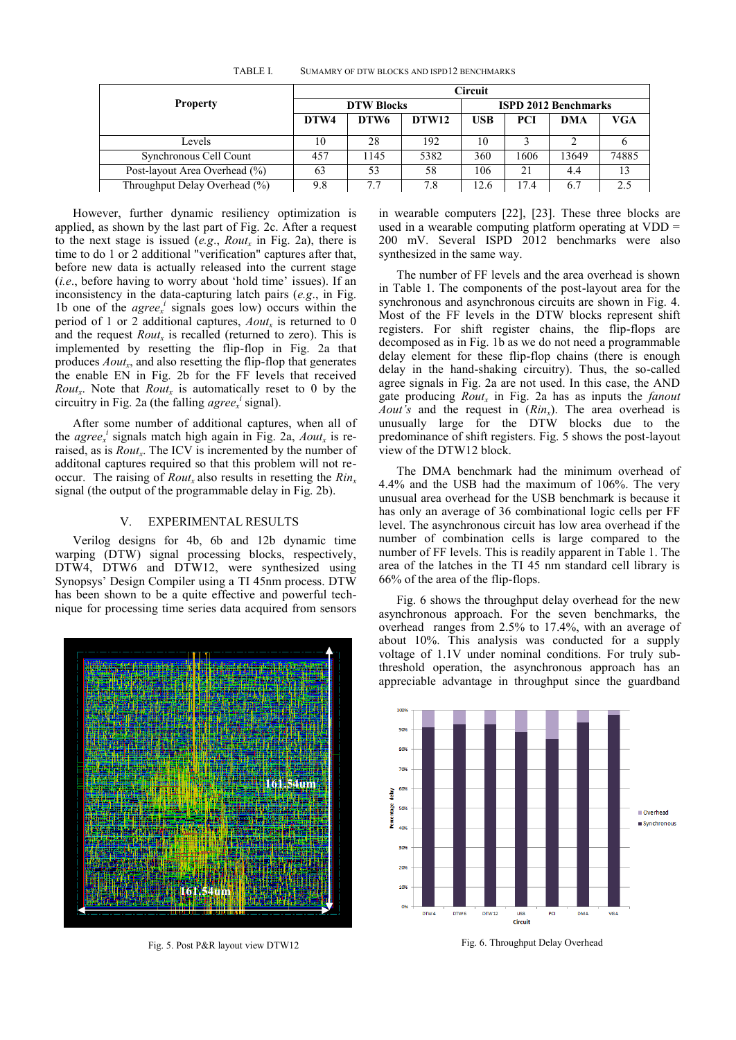| <b>Property</b>               | <b>Circuit</b>    |      |       |                             |            |       |       |
|-------------------------------|-------------------|------|-------|-----------------------------|------------|-------|-------|
|                               | <b>DTW Blocks</b> |      |       | <b>ISPD 2012 Benchmarks</b> |            |       |       |
|                               | DTW4              | DTW6 | DTW12 | <b>USB</b>                  | <b>PCI</b> | DMA   | VGA   |
| Levels                        | 10                | 28   | 192   | 10                          |            |       | b     |
| Synchronous Cell Count        | 457               | 1145 | 5382  | 360                         | 1606       | 13649 | 74885 |
| Post-layout Area Overhead (%) | 63                | 53   | 58    | 106                         | 21         | 4.4   | 13    |
| Throughput Delay Overhead (%) | 9.8               |      | 7.8   | 12.6                        | 17.4       | 6.7   |       |

TABLE I. SUMAMRY OF DTW BLOCKS AND ISPD12 BENCHMARKS

However, further dynamic resiliency optimization is applied, as shown by the last part of Fig. 2c. After a request to the next stage is issued (*e.g.*,  $Rout_x$  in Fig. 2a), there is time to do 1 or 2 additional "verification" captures after that, before new data is actually released into the current stage (*i.e*., before having to worry about 'hold time' issues). If an inconsistency in the data-capturing latch pairs (*e.g*., in Fig. 1b one of the  $agree_x^i$  signals goes low) occurs within the period of 1 or 2 additional captures, *Aout<sup>x</sup>* is returned to 0 and the request *Rout<sup>x</sup>* is recalled (returned to zero). This is implemented by resetting the flip-flop in Fig. 2a that produces *Aout<sup>x</sup>* , and also resetting the flip-flop that generates the enable EN in Fig. 2b for the FF levels that received *Rout<sub>x</sub>*. Note that *Rout<sub>x</sub>* is automatically reset to 0 by the circuitry in Fig. 2a (the falling  $agree_x^i$  signal).

After some number of additional captures, when all of the *agree*<sub>x</sub><sup>*i*</sup> signals match high again in Fig. 2a, *Aout*<sub>x</sub> is reraised, as is *Rout<sup>x</sup>* . The ICV is incremented by the number of additonal captures required so that this problem will not reoccur. The raising of *Routx* also results in resetting the *Rin<sup>x</sup>* signal (the output of the programmable delay in Fig. 2b).

# V. EXPERIMENTAL RESULTS

Verilog designs for 4b, 6b and 12b dynamic time warping (DTW) signal processing blocks, respectively, DTW4, DTW6 and DTW12, were synthesized using Synopsys' Design Compiler using a TI 45nm process. DTW has been shown to be a quite effective and powerful technique for processing time series data acquired from sensors



Fig. 5. Post P&R layout view DTW12

in wearable computers [22], [23]. These three blocks are used in a wearable computing platform operating at VDD = 200 mV. Several ISPD 2012 benchmarks were also synthesized in the same way.

The number of FF levels and the area overhead is shown in Table 1. The components of the post-layout area for the synchronous and asynchronous circuits are shown in Fig. 4. Most of the FF levels in the DTW blocks represent shift registers. For shift register chains, the flip-flops are decomposed as in Fig. 1b as we do not need a programmable delay element for these flip-flop chains (there is enough delay in the hand-shaking circuitry). Thus, the so-called agree signals in Fig. 2a are not used. In this case, the AND gate producing *Rout<sup>x</sup>* in Fig. 2a has as inputs the *fanout Aout's* and the request in (*Rinx*). The area overhead is unusually large for the DTW blocks due to the predominance of shift registers. Fig. 5 shows the post-layout view of the DTW12 block.

The DMA benchmark had the minimum overhead of 4.4% and the USB had the maximum of 106%. The very unusual area overhead for the USB benchmark is because it has only an average of 36 combinational logic cells per FF level. The asynchronous circuit has low area overhead if the number of combination cells is large compared to the number of FF levels. This is readily apparent in Table 1. The area of the latches in the TI 45 nm standard cell library is 66% of the area of the flip-flops.

Fig. 6 shows the throughput delay overhead for the new asynchronous approach. For the seven benchmarks, the overhead ranges from 2.5% to 17.4%, with an average of about 10%. This analysis was conducted for a supply voltage of 1.1V under nominal conditions. For truly subthreshold operation, the asynchronous approach has an appreciable advantage in throughput since the guardband



Fig. 6. Throughput Delay Overhead